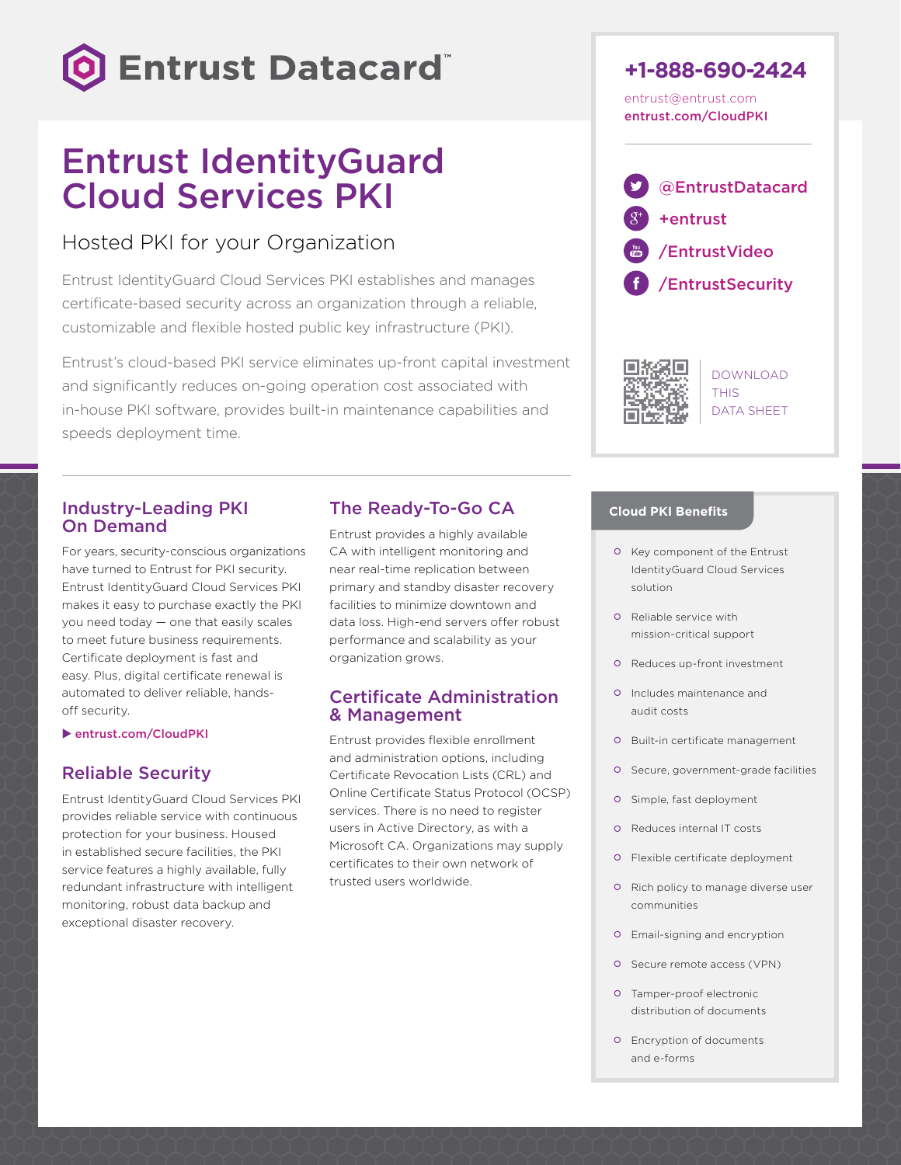

# Entrust IdentityGuard Cloud Services PKI

## Hosted PKI for your Organization

Entrust IdentityGuard Cloud Services PKI establishes and manages certificate-based security across an organization through a reliable, customizable and flexible hosted public key infrastructure (PKI).

Entrust's cloud-based PKI service eliminates up-front capital investment and significantly reduces on-going operation cost associated with in-house PKI software, provides built-in maintenance capabilities and speeds deployment time.

### Industry-Leading PKI On Demand

For years, security-conscious organizations have turned to Entrust for PKI security. Entrust IdentityGuard Cloud Services PKI makes it easy to purchase exactly the PKI you need today — one that easily scales to meet future business requirements. Certificate deployment is fast and easy. Plus, digital certificate renewal is automated to deliver reliable, handsoff security.

 $\blacktriangleright$  [entrust.com/CloudPKI](http://entrust.com/CloudPKI)

### Reliable Security

Entrust IdentityGuard Cloud Services PKI provides reliable service with continuous protection for your business. Housed in established secure facilities, the PKI service features a highly available, fully redundant infrastructure with intelligent monitoring, robust data backup and exceptional disaster recovery.

## The Ready-To-Go CA

Entrust provides a highly available CA with intelligent monitoring and near real-time replication between primary and standby disaster recovery facilities to minimize downtown and data loss. High-end servers offer robust performance and scalability as your organization grows.

### Certificate Administration & Management

Entrust provides flexible enrollment and administration options, including Certificate Revocation Lists (CRL) and Online Certificate Status Protocol (OCSP) services. There is no need to register users in Active Directory, as with a Microsoft CA. Organizations may supply certificates to their own network of trusted users worldwide.



[entrust.com/CloudPKI](http://entrust.com/CloudPKI)

[@EntrustDatacard](https://twitter.com/EntrustDatacard) [+entrust](https://plus.google.com/+entrust/posts) [/EntrustVideo](http://www.youtube.com/user/EntrustVideo) [/EntrustSecurity](https://www.facebook.com/EntrustSecurity)



DOWNLOAD **THIS** DATA SHEET

### **Cloud PKI Benefits**

- o Key component of the Entrust IdentityGuard Cloud Services solution
- o Reliable service with mission-critical support
- Reduces up-front investment
- Includes maintenance and audit costs
- **O** Built-in certificate management
- Secure, government-grade facilities
- o Simple, fast deployment
- Reduces internal IT costs
- Flexible certificate deployment
- o Rich policy to manage diverse user communities
- Email-signing and encryption
- O Secure remote access (VPN)
- Tamper-proof electronic distribution of documents
- Encryption of documents and e-forms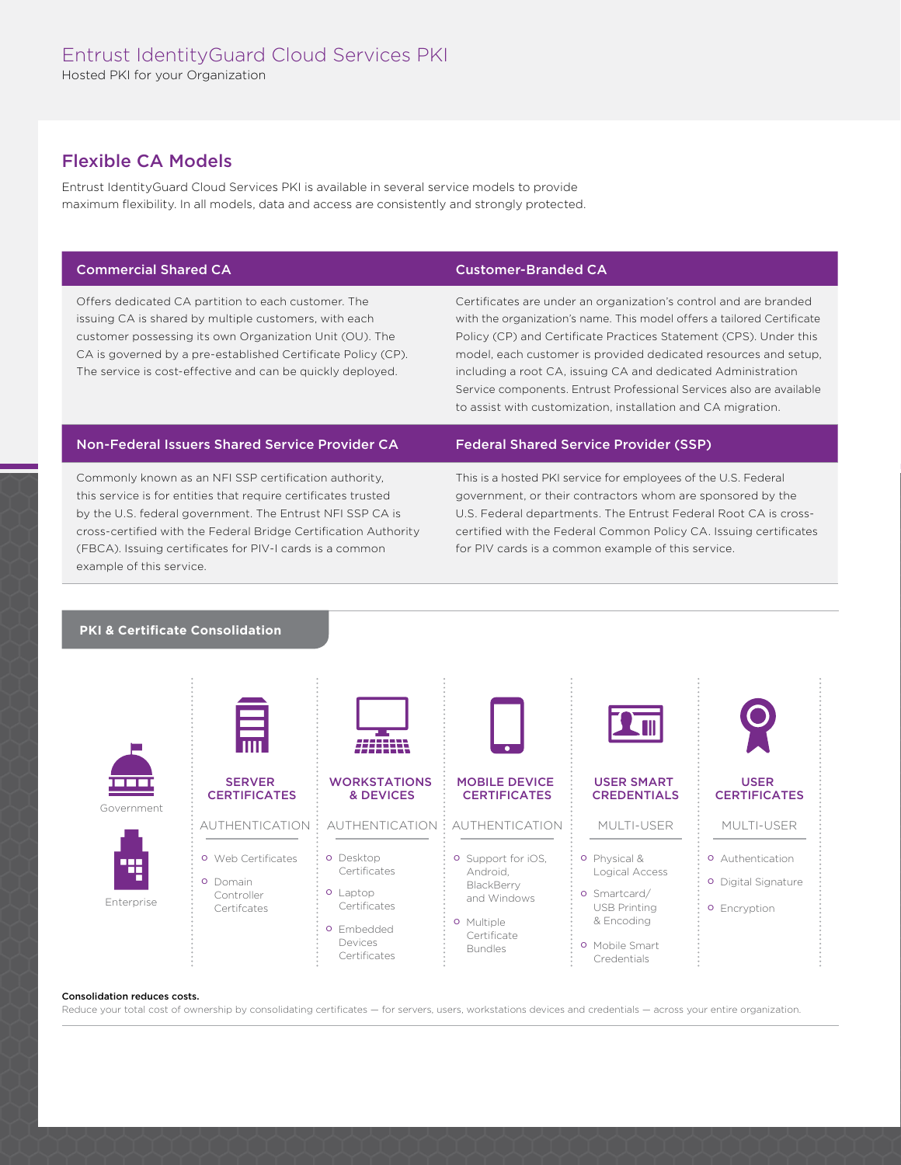### Flexible CA Models

Entrust IdentityGuard Cloud Services PKI is available in several service models to provide maximum flexibility. In all models, data and access are consistently and strongly protected.

Offers dedicated CA partition to each customer. The issuing CA is shared by multiple customers, with each customer possessing its own Organization Unit (OU). The CA is governed by a pre-established Certificate Policy (CP). The service is cost-effective and can be quickly deployed.

#### Commercial Shared CA Customer-Branded CA

Certificates are under an organization's control and are branded with the organization's name. This model offers a tailored Certificate Policy (CP) and Certificate Practices Statement (CPS). Under this model, each customer is provided dedicated resources and setup, including a root CA, issuing CA and dedicated Administration Service components. Entrust Professional Services also are available to assist with customization, installation and CA migration.

#### Non-Federal Issuers Shared Service Provider CA Federal Shared Service Provider (SSP)

Commonly known as an NFI SSP certification authority, this service is for entities that require certificates trusted by the U.S. federal government. The Entrust NFI SSP CA is cross-certified with the Federal Bridge Certification Authority (FBCA). Issuing certificates for PIV-I cards is a common example of this service.

This is a hosted PKI service for employees of the U.S. Federal government, or their contractors whom are sponsored by the U.S. Federal departments. The Entrust Federal Root CA is crosscertified with the Federal Common Policy CA. Issuing certificates for PIV cards is a common example of this service.

#### **PKI & Certificate Consolidation**



#### Consolidation reduces costs.

Reduce your total cost of ownership by consolidating certificates - for servers, users, workstations devices and credentials - across your entire organization.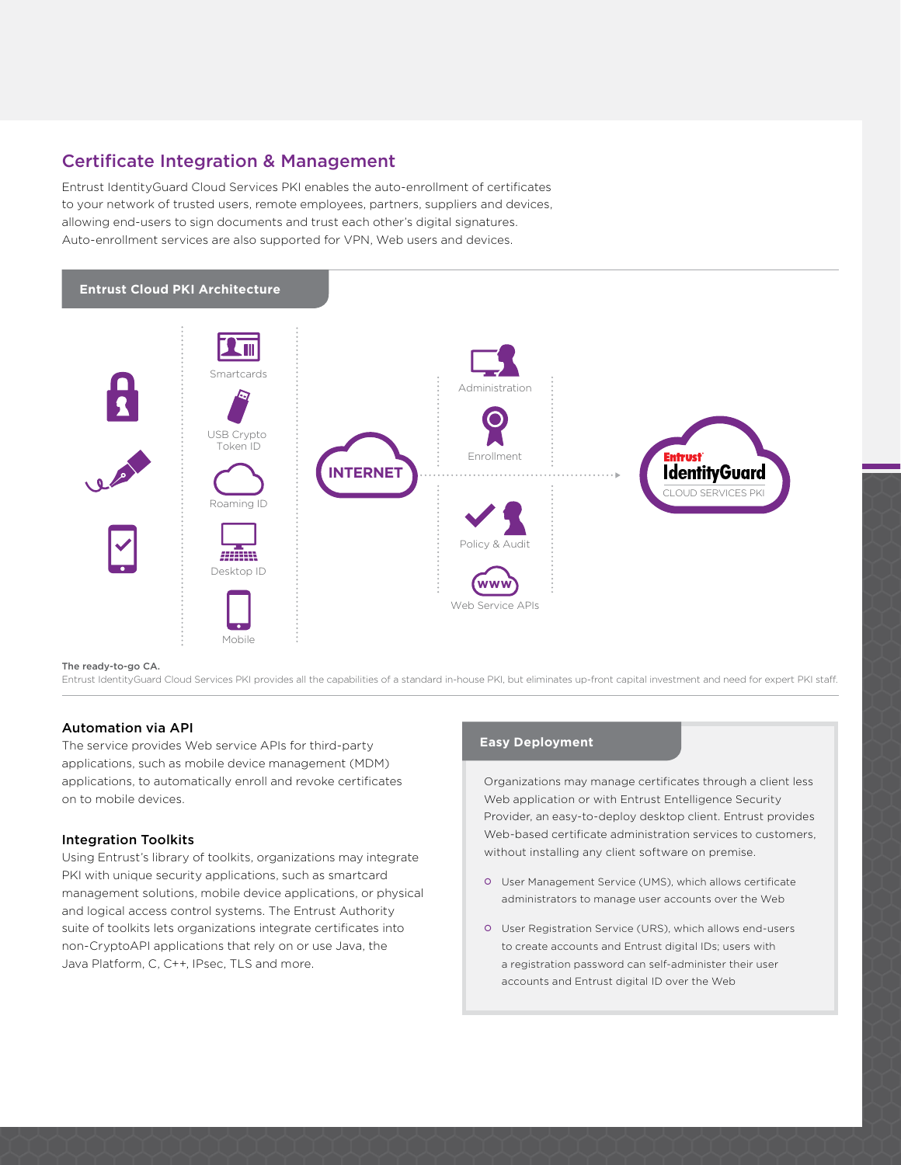### Certificate Integration & Management

Entrust IdentityGuard Cloud Services PKI enables the auto-enrollment of certificates to your network of trusted users, remote employees, partners, suppliers and devices, allowing end-users to sign documents and trust each other's digital signatures. Auto-enrollment services are also supported for VPN, Web users and devices.



#### The ready-to-go CA.

Entrust IdentityGuard Cloud Services PKI provides all the capabilities of a standard in-house PKI, but eliminates up-front capital investment and need for expert PKI staff.

### Automation via API

The service provides Web service APIs for third-party applications, such as mobile device management (MDM) applications, to automatically enroll and revoke certificates on to mobile devices.

#### Integration Toolkits

Using Entrust's library of toolkits, organizations may integrate PKI with unique security applications, such as smartcard management solutions, mobile device applications, or physical and logical access control systems. The Entrust Authority suite of toolkits lets organizations integrate certificates into non-CryptoAPI applications that rely on or use Java, the Java Platform, C, C++, IPsec, TLS and more.

### **Easy Deployment**

Organizations may manage certificates through a client less Web application or with Entrust Entelligence Security Provider, an easy-to-deploy desktop client. Entrust provides Web-based certificate administration services to customers, without installing any client software on premise.

- User Management Service (UMS), which allows certificate administrators to manage user accounts over the Web
- User Registration Service (URS), which allows end-users to create accounts and Entrust digital IDs; users with a registration password can self-administer their user accounts and Entrust digital ID over the Web